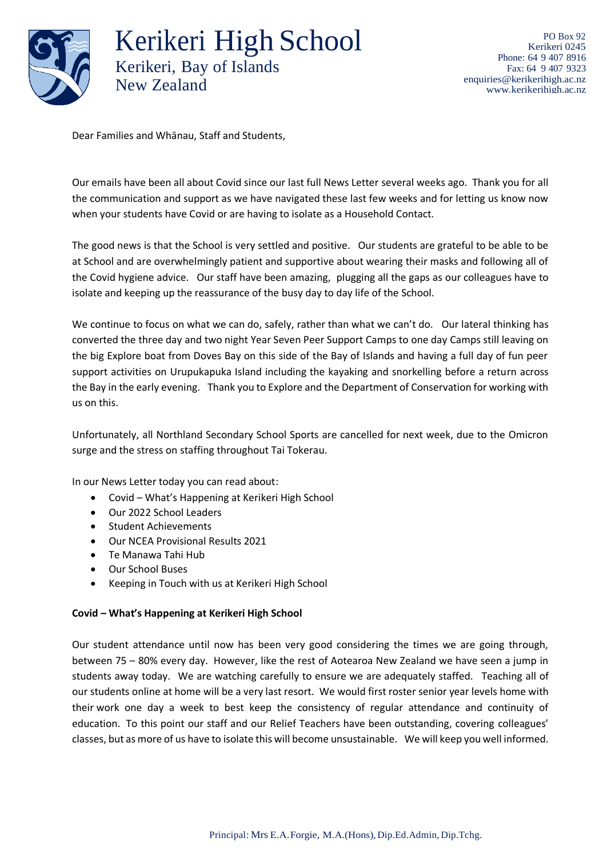

Kerikeri High School Kerikeri, Bay of Islands New Zealand

PO Box 92 Kerikeri 0245 Phone: 64 9 407 8916 Fax: 64 9 407 9323 [enquiries@kerikerihigh.ac.nz](mailto:enquiries@kerikerihigh.ac.nz) [www.kerikerihigh.ac.nz](http://www.kerikerihigh.ac.nz/)

Dear Families and Whānau, Staff and Students,

Our emails have been all about Covid since our last full News Letter several weeks ago. Thank you for all the communication and support as we have navigated these last few weeks and for letting us know now when your students have Covid or are having to isolate as a Household Contact.

The good news is that the School is very settled and positive. Our students are grateful to be able to be at School and are overwhelmingly patient and supportive about wearing their masks and following all of the Covid hygiene advice. Our staff have been amazing, plugging all the gaps as our colleagues have to isolate and keeping up the reassurance of the busy day to day life of the School.

We continue to focus on what we can do, safely, rather than what we can't do. Our lateral thinking has converted the three day and two night Year Seven Peer Support Camps to one day Camps still leaving on the big Explore boat from Doves Bay on this side of the Bay of Islands and having a full day of fun peer support activities on Urupukapuka Island including the kayaking and snorkelling before a return across the Bay in the early evening. Thank you to Explore and the Department of Conservation for working with us on this.

Unfortunately, all Northland Secondary School Sports are cancelled for next week, due to the Omicron surge and the stress on staffing throughout Tai Tokerau.

In our News Letter today you can read about:

- Covid What's Happening at Kerikeri High School
- Our 2022 School Leaders
- Student Achievements
- Our NCEA Provisional Results 2021
- Te Manawa Tahi Hub
- Our School Buses
- Keeping in Touch with us at Kerikeri High School

# **Covid – What's Happening at Kerikeri High School**

Our student attendance until now has been very good considering the times we are going through, between 75 – 80% every day. However, like the rest of Aotearoa New Zealand we have seen a jump in students away today. We are watching carefully to ensure we are adequately staffed. Teaching all of our students online at home will be a very last resort. We would first roster senior year levels home with their work one day a week to best keep the consistency of regular attendance and continuity of education. To this point our staff and our Relief Teachers have been outstanding, covering colleagues' classes, but as more of us have to isolate this will become unsustainable. We will keep you well informed.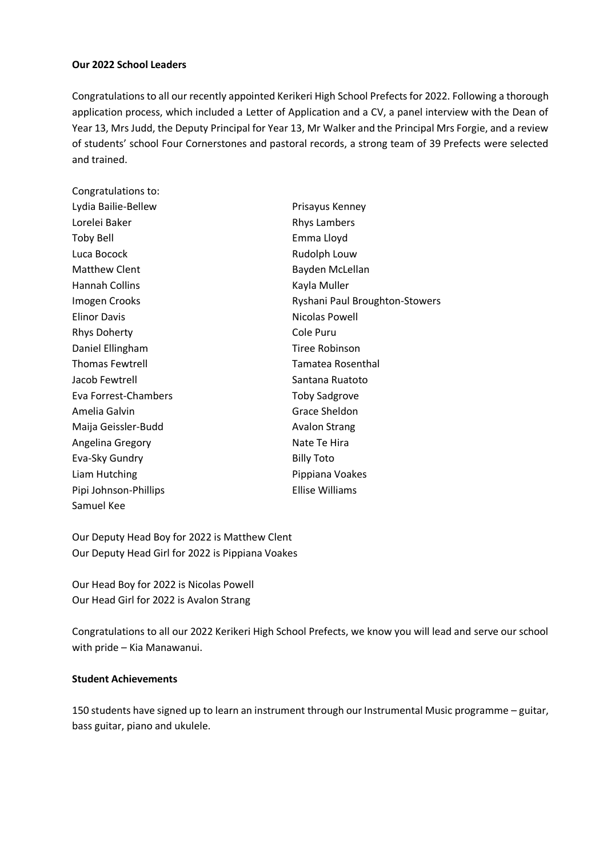# **Our 2022 School Leaders**

Congratulations to all our recently appointed Kerikeri High School Prefects for 2022. Following a thorough application process, which included a Letter of Application and a CV, a panel interview with the Dean of Year 13, Mrs Judd, the Deputy Principal for Year 13, Mr Walker and the Principal Mrs Forgie, and a review of students' school Four Cornerstones and pastoral records, a strong team of 39 Prefects were selected and trained.

| Congratulations to:    |                                |
|------------------------|--------------------------------|
| Lydia Bailie-Bellew    | Prisayus Kenney                |
| Lorelei Baker          | <b>Rhys Lambers</b>            |
| <b>Toby Bell</b>       | Emma Lloyd                     |
| Luca Bocock            | Rudolph Louw                   |
| <b>Matthew Clent</b>   | Bayden McLellan                |
| <b>Hannah Collins</b>  | Kayla Muller                   |
| Imogen Crooks          | Ryshani Paul Broughton-Stowers |
| <b>Elinor Davis</b>    | Nicolas Powell                 |
| <b>Rhys Doherty</b>    | Cole Puru                      |
| Daniel Ellingham       | Tiree Robinson                 |
| <b>Thomas Fewtrell</b> | <b>Tamatea Rosenthal</b>       |
| Jacob Fewtrell         | Santana Ruatoto                |
| Eva Forrest-Chambers   | <b>Toby Sadgrove</b>           |
| Amelia Galvin          | Grace Sheldon                  |
| Maija Geissler-Budd    | <b>Avalon Strang</b>           |
| Angelina Gregory       | Nate Te Hira                   |
| Eva-Sky Gundry         | <b>Billy Toto</b>              |
| Liam Hutching          | Pippiana Voakes                |
| Pipi Johnson-Phillips  | Ellise Williams                |
| Samuel Kee             |                                |

Our Deputy Head Boy for 2022 is Matthew Clent Our Deputy Head Girl for 2022 is Pippiana Voakes

Our Head Boy for 2022 is Nicolas Powell Our Head Girl for 2022 is Avalon Strang

Congratulations to all our 2022 Kerikeri High School Prefects, we know you will lead and serve our school with pride – Kia Manawanui.

# **Student Achievements**

150 students have signed up to learn an instrument through our Instrumental Music programme – guitar, bass guitar, piano and ukulele.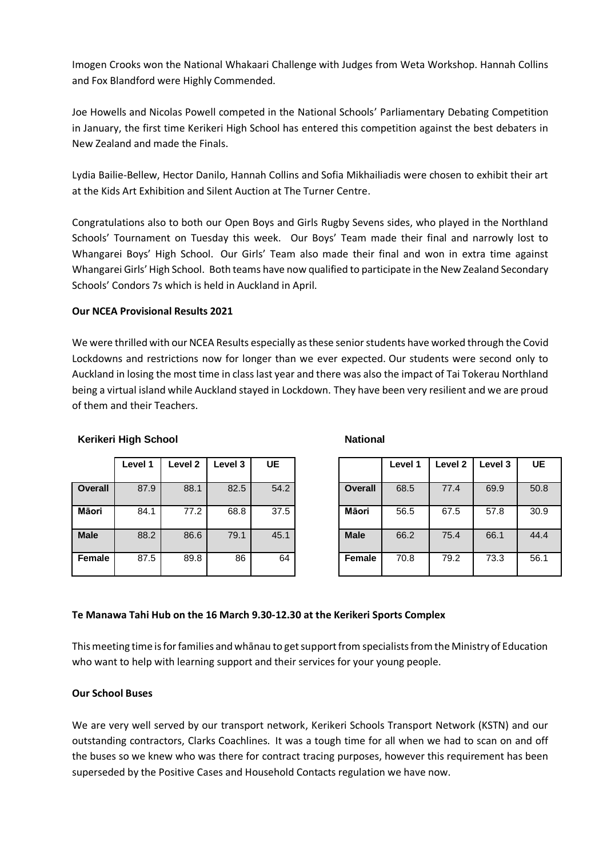Imogen Crooks won the National Whakaari Challenge with Judges from Weta Workshop. Hannah Collins and Fox Blandford were Highly Commended.

Joe Howells and Nicolas Powell competed in the National Schools' Parliamentary Debating Competition in January, the first time Kerikeri High School has entered this competition against the best debaters in New Zealand and made the Finals.

Lydia Bailie-Bellew, Hector Danilo, Hannah Collins and Sofia Mikhailiadis were chosen to exhibit their art at the Kids Art Exhibition and Silent Auction at The Turner Centre.

Congratulations also to both our Open Boys and Girls Rugby Sevens sides, who played in the Northland Schools' Tournament on Tuesday this week. Our Boys' Team made their final and narrowly lost to Whangarei Boys' High School. Our Girls' Team also made their final and won in extra time against Whangarei Girls' High School. Both teams have now qualified to participate in the New Zealand Secondary Schools' Condors 7s which is held in Auckland in April.

# **Our NCEA Provisional Results 2021**

We were thrilled with our NCEA Results especially as these senior students have worked through the Covid Lockdowns and restrictions now for longer than we ever expected. Our students were second only to Auckland in losing the most time in class last year and there was also the impact of Tai Tokerau Northland being a virtual island while Auckland stayed in Lockdown. They have been very resilient and we are proud of them and their Teachers.

|                | Level 1 | Level <sub>2</sub> | Level 3 | UE   |                | Level 1 | Level 2 | Level 3 | <b>UE</b> |
|----------------|---------|--------------------|---------|------|----------------|---------|---------|---------|-----------|
| <b>Overall</b> | 87.9    | 88.1               | 82.5    | 54.2 | <b>Overall</b> | 68.5    | 77.4    | 69.9    | 50.8      |
| <b>Māori</b>   | 84.1    | 77.2               | 68.8    | 37.5 | Māori          | 56.5    | 67.5    | 57.8    | 30.9      |
| <b>Male</b>    | 88.2    | 86.6               | 79.1    | 45.1 | <b>Male</b>    | 66.2    | 75.4    | 66.1    | 44.4      |
| Female         | 87.5    | 89.8               | 86      | 64   | Female         | 70.8    | 79.2    | 73.3    | 56.1      |

### **Kerikeri High School National National Review Review Rational Review Review Rational Review Rational Review Rational Review Rational Review Rational Review Rational Review Rational Review Rational Review Rational Review R**

| Level 1 | Level <sub>2</sub> | Level 3 | <b>UE</b> |                | Level 1 | Level 2 | Level 3 | <b>UE</b> |
|---------|--------------------|---------|-----------|----------------|---------|---------|---------|-----------|
| 87.9    | 88.1               | 82.5    | 54.2      | <b>Overall</b> | 68.5    | 77.4    | 69.9    | 50.8      |
| 84.1    | 77.2               | 68.8    | 37.5      | Māori          | 56.5    | 67.5    | 57.8    | 30.9      |
| 88.2    | 86.6               | 79.1    | 45.1      | <b>Male</b>    | 66.2    | 75.4    | 66.1    | 44.4      |
| 87.5    | 89.8               | 86      | 64        | Female         | 70.8    | 79.2    | 73.3    | 56.1      |

# **Te Manawa Tahi Hub on the 16 March 9.30-12.30 at the Kerikeri Sports Complex**

This meeting time is for families and whānau to get support from specialists from the Ministry of Education who want to help with learning support and their services for your young people.

# **Our School Buses**

We are very well served by our transport network, Kerikeri Schools Transport Network (KSTN) and our outstanding contractors, Clarks Coachlines. It was a tough time for all when we had to scan on and off the buses so we knew who was there for contract tracing purposes, however this requirement has been superseded by the Positive Cases and Household Contacts regulation we have now.